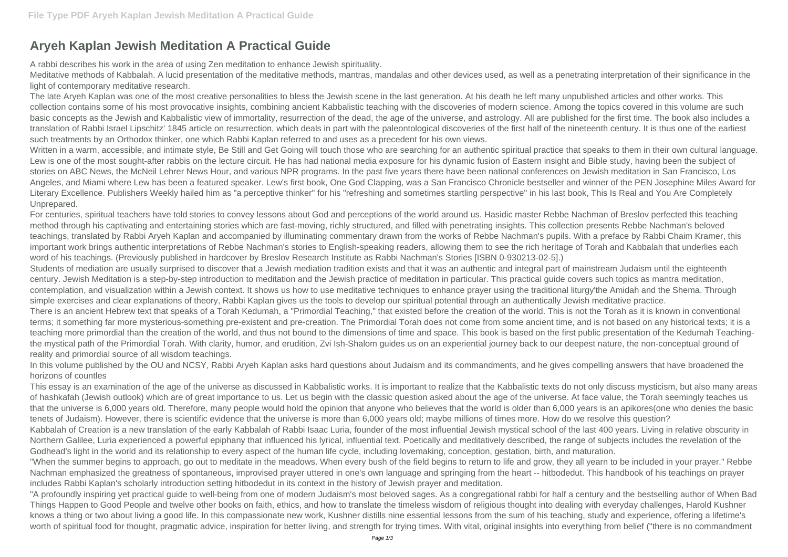## **Aryeh Kaplan Jewish Meditation A Practical Guide**

A rabbi describes his work in the area of using Zen meditation to enhance Jewish spirituality.

Meditative methods of Kabbalah. A lucid presentation of the meditative methods, mantras, mandalas and other devices used, as well as a penetrating interpretation of their significance in the light of contemporary meditative research.

The late Aryeh Kaplan was one of the most creative personalities to bless the Jewish scene in the last generation. At his death he left many unpublished articles and other works. This collection contains some of his most provocative insights, combining ancient Kabbalistic teaching with the discoveries of modern science. Among the topics covered in this volume are such basic concepts as the Jewish and Kabbalistic view of immortality, resurrection of the dead, the age of the universe, and astrology. All are published for the first time. The book also includes a translation of Rabbi Israel Lipschitz' 1845 article on resurrection, which deals in part with the paleontological discoveries of the first half of the nineteenth century. It is thus one of the earliest such treatments by an Orthodox thinker, one which Rabbi Kaplan referred to and uses as a precedent for his own views.

Written in a warm, accessible, and intimate style, Be Still and Get Going will touch those who are searching for an authentic spiritual practice that speaks to them in their own cultural language. Lew is one of the most sought-after rabbis on the lecture circuit. He has had national media exposure for his dynamic fusion of Eastern insight and Bible study, having been the subject of stories on ABC News, the McNeil Lehrer News Hour, and various NPR programs. In the past five years there have been national conferences on Jewish meditation in San Francisco, Los Angeles, and Miami where Lew has been a featured speaker. Lew's first book, One God Clapping, was a San Francisco Chronicle bestseller and winner of the PEN Josephine Miles Award for Literary Excellence. Publishers Weekly hailed him as "a perceptive thinker" for his "refreshing and sometimes startling perspective" in his last book, This Is Real and You Are Completely Unprepared.

For centuries, spiritual teachers have told stories to convey lessons about God and perceptions of the world around us. Hasidic master Rebbe Nachman of Breslov perfected this teaching method through his captivating and entertaining stories which are fast-moving, richly structured, and filled with penetrating insights. This collection presents Rebbe Nachman's beloved teachings, translated by Rabbi Aryeh Kaplan and accompanied by illuminating commentary drawn from the works of Rebbe Nachman's pupils. With a preface by Rabbi Chaim Kramer, this important work brings authentic interpretations of Rebbe Nachman's stories to English-speaking readers, allowing them to see the rich heritage of Torah and Kabbalah that underlies each word of his teachings. (Previously published in hardcover by Breslov Research Institute as Rabbi Nachman's Stories [ISBN 0-930213-02-5].)

Students of mediation are usually surprised to discover that a Jewish mediation tradition exists and that it was an authentic and integral part of mainstream Judaism until the eighteenth century. Jewish Meditation is a step-by-step introduction to meditation and the Jewish practice of meditation in particular. This practical guide covers such topics as mantra meditation, contemplation, and visualization within a Jewish context. It shows us how to use meditative techniques to enhance prayer using the traditional liturgy'the Amidah and the Shema. Through simple exercises and clear explanations of theory, Rabbi Kaplan gives us the tools to develop our spiritual potential through an authentically Jewish meditative practice. There is an ancient Hebrew text that speaks of a Torah Kedumah, a "Primordial Teaching," that existed before the creation of the world. This is not the Torah as it is known in conventional terms; it something far more mysterious-something pre-existent and pre-creation. The Primordial Torah does not come from some ancient time, and is not based on any historical texts; it is a teaching more primordial than the creation of the world, and thus not bound to the dimensions of time and space. This book is based on the first public presentation of the Kedumah Teachingthe mystical path of the Primordial Torah. With clarity, humor, and erudition, Zvi Ish-Shalom guides us on an experiential journey back to our deepest nature, the non-conceptual ground of reality and primordial source of all wisdom teachings.

In this volume published by the OU and NCSY, Rabbi Aryeh Kaplan asks hard questions about Judaism and its commandments, and he gives compelling answers that have broadened the horizons of countles

This essay is an examination of the age of the universe as discussed in Kabbalistic works. It is important to realize that the Kabbalistic texts do not only discuss mysticism, but also many areas of hashkafah (Jewish outlook) which are of great importance to us. Let us begin with the classic question asked about the age of the universe. At face value, the Torah seemingly teaches us that the universe is 6,000 years old. Therefore, many people would hold the opinion that anyone who believes that the world is older than 6,000 years is an apikores(one who denies the basic tenets of Judaism). However, there is scientific evidence that the universe is more than 6,000 years old; maybe millions of times more. How do we resolve this question? Kabbalah of Creation is a new translation of the early Kabbalah of Rabbi Isaac Luria, founder of the most influential Jewish mystical school of the last 400 years. Living in relative obscurity in Northern Galilee, Luria experienced a powerful epiphany that influenced his lyrical, influential text. Poetically and meditatively described, the range of subjects includes the revelation of the Godhead's light in the world and its relationship to every aspect of the human life cycle, including lovemaking, conception, gestation, birth, and maturation. "When the summer begins to approach, go out to meditate in the meadows. When every bush of the field begins to return to life and grow, they all yearn to be included in your prayer." Rebbe Nachman emphasized the greatness of spontaneous, improvised prayer uttered in one's own language and springing from the heart -- hitbodedut. This handbook of his teachings on prayer includes Rabbi Kaplan's scholarly introduction setting hitbodedut in its context in the history of Jewish prayer and meditation.

"A profoundly inspiring yet practical guide to well-being from one of modern Judaism's most beloved sages. As a congregational rabbi for half a century and the bestselling author of When Bad Things Happen to Good People and twelve other books on faith, ethics, and how to translate the timeless wisdom of religious thought into dealing with everyday challenges, Harold Kushner knows a thing or two about living a good life. In this compassionate new work, Kushner distills nine essential lessons from the sum of his teaching, study and experience, offering a lifetime's worth of spiritual food for thought, pragmatic advice, inspiration for better living, and strength for trying times. With vital, original insights into everything from belief ("there is no commandment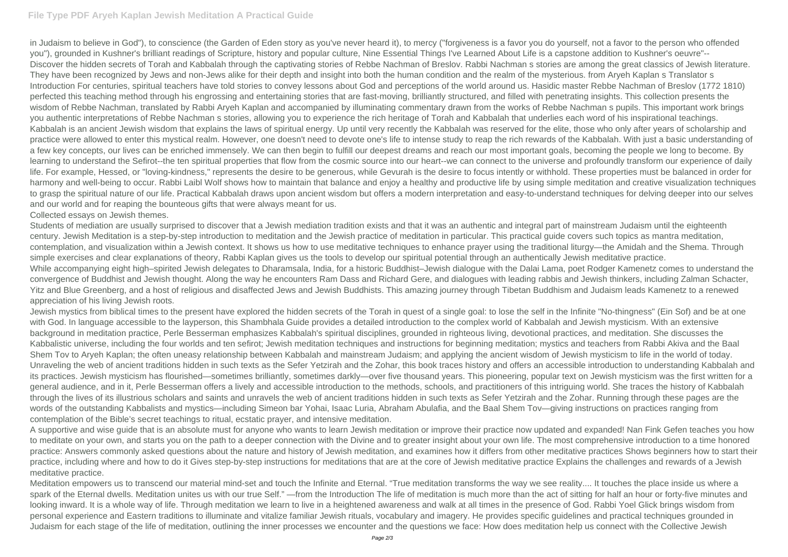## **File Type PDF Aryeh Kaplan Jewish Meditation A Practical Guide**

in Judaism to believe in God"), to conscience (the Garden of Eden story as you've never heard it), to mercy ("forgiveness is a favor you do yourself, not a favor to the person who offended you"), grounded in Kushner's brilliant readings of Scripture, history and popular culture, Nine Essential Things I've Learned About Life is a capstone addition to Kushner's oeuvre"-- Discover the hidden secrets of Torah and Kabbalah through the captivating stories of Rebbe Nachman of Breslov. Rabbi Nachman s stories are among the great classics of Jewish literature. They have been recognized by Jews and non-Jews alike for their depth and insight into both the human condition and the realm of the mysterious. from Aryeh Kaplan s Translator s Introduction For centuries, spiritual teachers have told stories to convey lessons about God and perceptions of the world around us. Hasidic master Rebbe Nachman of Breslov (1772 1810) perfected this teaching method through his engrossing and entertaining stories that are fast-moving, brilliantly structured, and filled with penetrating insights. This collection presents the wisdom of Rebbe Nachman, translated by Rabbi Aryeh Kaplan and accompanied by illuminating commentary drawn from the works of Rebbe Nachman s pupils. This important work brings you authentic interpretations of Rebbe Nachman s stories, allowing you to experience the rich heritage of Torah and Kabbalah that underlies each word of his inspirational teachings. Kabbalah is an ancient Jewish wisdom that explains the laws of spiritual energy. Up until very recently the Kabbalah was reserved for the elite, those who only after years of scholarship and practice were allowed to enter this mystical realm. However, one doesn't need to devote one's life to intense study to reap the rich rewards of the Kabbalah. With just a basic understanding of a few key concepts, our lives can be enriched immensely. We can then begin to fulfill our deepest dreams and reach our most important goals, becoming the people we long to become. By learning to understand the Sefirot--the ten spiritual properties that flow from the cosmic source into our heart--we can connect to the universe and profoundly transform our experience of daily life. For example, Hessed, or "loving-kindness," represents the desire to be generous, while Gevurah is the desire to focus intently or withhold. These properties must be balanced in order for harmony and well-being to occur. Rabbi Laibl Wolf shows how to maintain that balance and enjoy a healthy and productive life by using simple meditation and creative visualization techniques to grasp the spiritual nature of our life. Practical Kabbalah draws upon ancient wisdom but offers a modern interpretation and easy-to-understand techniques for delving deeper into our selves and our world and for reaping the bounteous gifts that were always meant for us. Collected essays on Jewish themes.

Students of mediation are usually surprised to discover that a Jewish mediation tradition exists and that it was an authentic and integral part of mainstream Judaism until the eighteenth century. Jewish Meditation is a step-by-step introduction to meditation and the Jewish practice of meditation in particular. This practical guide covers such topics as mantra meditation, contemplation, and visualization within a Jewish context. It shows us how to use meditative techniques to enhance prayer using the traditional liturgy—the Amidah and the Shema. Through simple exercises and clear explanations of theory, Rabbi Kaplan gives us the tools to develop our spiritual potential through an authentically Jewish meditative practice. While accompanying eight high–spirited Jewish delegates to Dharamsala, India, for a historic Buddhist–Jewish dialogue with the Dalai Lama, poet Rodger Kamenetz comes to understand the convergence of Buddhist and Jewish thought. Along the way he encounters Ram Dass and Richard Gere, and dialogues with leading rabbis and Jewish thinkers, including Zalman Schacter, Yitz and Blue Greenberg, and a host of religious and disaffected Jews and Jewish Buddhists. This amazing journey through Tibetan Buddhism and Judaism leads Kamenetz to a renewed appreciation of his living Jewish roots.

Jewish mystics from biblical times to the present have explored the hidden secrets of the Torah in quest of a single goal: to lose the self in the Infinite "No-thingness" (Ein Sof) and be at one with God. In language accessible to the layperson, this Shambhala Guide provides a detailed introduction to the complex world of Kabbalah and Jewish mysticism. With an extensive background in meditation practice, Perle Besserman emphasizes Kabbalah's spiritual disciplines, grounded in righteous living, devotional practices, and meditation. She discusses the Kabbalistic universe, including the four worlds and ten sefirot; Jewish meditation techniques and instructions for beginning meditation; mystics and teachers from Rabbi Akiva and the Baal Shem Tov to Aryeh Kaplan; the often uneasy relationship between Kabbalah and mainstream Judaism; and applying the ancient wisdom of Jewish mysticism to life in the world of today. Unraveling the web of ancient traditions hidden in such texts as the Sefer Yetzirah and the Zohar, this book traces history and offers an accessible introduction to understanding Kabbalah and its practices. Jewish mysticism has flourished—sometimes brilliantly, sometimes darkly—over five thousand years. This pioneering, popular text on Jewish mysticism was the first written for a general audience, and in it, Perle Besserman offers a lively and accessible introduction to the methods, schools, and practitioners of this intriguing world. She traces the history of Kabbalah through the lives of its illustrious scholars and saints and unravels the web of ancient traditions hidden in such texts as Sefer Yetzirah and the Zohar. Running through these pages are the words of the outstanding Kabbalists and mystics—including Simeon bar Yohai, Isaac Luria, Abraham Abulafia, and the Baal Shem Tov—giving instructions on practices ranging from contemplation of the Bible's secret teachings to ritual, ecstatic prayer, and intensive meditation.

A supportive and wise guide that is an absolute must for anyone who wants to learn Jewish meditation or improve their practice now updated and expanded! Nan Fink Gefen teaches you how to meditate on your own, and starts you on the path to a deeper connection with the Divine and to greater insight about your own life. The most comprehensive introduction to a time honored practice: Answers commonly asked questions about the nature and history of Jewish meditation, and examines how it differs from other meditative practices Shows beginners how to start their practice, including where and how to do it Gives step-by-step instructions for meditations that are at the core of Jewish meditative practice Explains the challenges and rewards of a Jewish meditative practice.

Meditation empowers us to transcend our material mind-set and touch the Infinite and Eternal. "True meditation transforms the way we see reality.... It touches the place inside us where a spark of the Eternal dwells. Meditation unites us with our true Self." —from the Introduction The life of meditation is much more than the act of sitting for half an hour or forty-five minutes and looking inward. It is a whole way of life. Through meditation we learn to live in a heightened awareness and walk at all times in the presence of God. Rabbi Yoel Glick brings wisdom from personal experience and Eastern traditions to illuminate and vitalize familiar Jewish rituals, vocabulary and imagery. He provides specific guidelines and practical techniques grounded in Judaism for each stage of the life of meditation, outlining the inner processes we encounter and the questions we face: How does meditation help us connect with the Collective Jewish